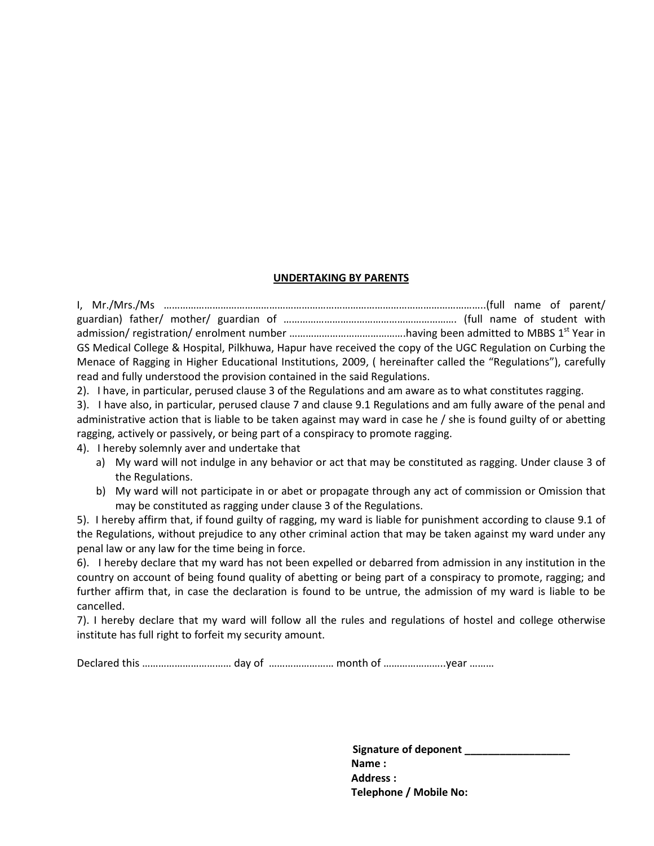#### **UNDERTAKING BY PARENTS**

I, Mr./Mrs./Ms ………………………………………………………………………………………………………..(full name of parent/ guardian) father/ mother/ guardian of ………………………………………………………. (full name of student with admission/ registration/ enrolment number ………………………………………having been admitted to MBBS 1<sup>st</sup> Year in GS Medical College & Hospital, Pilkhuwa, Hapur have received the copy of the UGC Regulation on Curbing the Menace of Ragging in Higher Educational Institutions, 2009, ( hereinafter called the "Regulations"), carefully read and fully understood the provision contained in the said Regulations.

2). I have, in particular, perused clause 3 of the Regulations and am aware as to what constitutes ragging.

3). I have also, in particular, perused clause 7 and clause 9.1 Regulations and am fully aware of the penal and administrative action that is liable to be taken against may ward in case he / she is found guilty of or abetting ragging, actively or passively, or being part of a conspiracy to promote ragging.

4). I hereby solemnly aver and undertake that

- a) My ward will not indulge in any behavior or act that may be constituted as ragging. Under clause 3 of the Regulations.
- b) My ward will not participate in or abet or propagate through any act of commission or Omission that may be constituted as ragging under clause 3 of the Regulations.

5). I hereby affirm that, if found guilty of ragging, my ward is liable for punishment according to clause 9.1 of the Regulations, without prejudice to any other criminal action that may be taken against my ward under any penal law or any law for the time being in force.

6). I hereby declare that my ward has not been expelled or debarred from admission in any institution in the country on account of being found quality of abetting or being part of a conspiracy to promote, ragging; and further affirm that, in case the declaration is found to be untrue, the admission of my ward is liable to be cancelled.

7). I hereby declare that my ward will follow all the rules and regulations of hostel and college otherwise institute has full right to forfeit my security amount.

Declared this …………………………… day of …………………… month of …………………..year ………

 **Signature of deponent \_\_\_\_\_\_\_\_\_\_\_\_\_\_\_\_\_\_ Name : Address : Telephone / Mobile No:**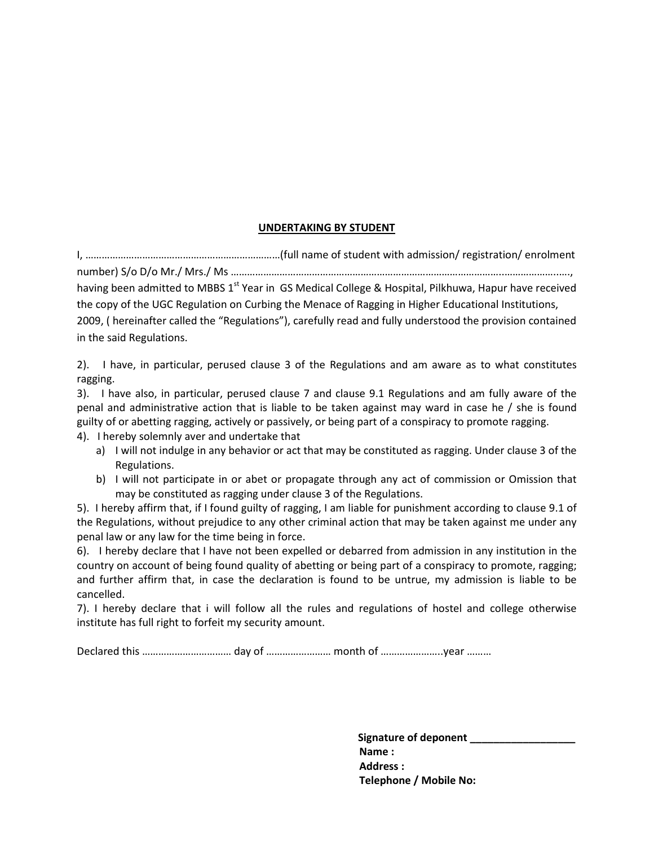#### **UNDERTAKING BY STUDENT**

I, ………………………………………………………………(full name of student with admission/ registration/ enrolment

number) S/o D/o Mr./ Mrs./ Ms ………………………………………………………………………………………..………………..…., having been admitted to MBBS 1<sup>st</sup> Year in GS Medical College & Hospital, Pilkhuwa, Hapur have received the copy of the UGC Regulation on Curbing the Menace of Ragging in Higher Educational Institutions, 2009, ( hereinafter called the "Regulations"), carefully read and fully understood the provision contained in the said Regulations.

2). I have, in particular, perused clause 3 of the Regulations and am aware as to what constitutes ragging.

3). I have also, in particular, perused clause 7 and clause 9.1 Regulations and am fully aware of the penal and administrative action that is liable to be taken against may ward in case he / she is found guilty of or abetting ragging, actively or passively, or being part of a conspiracy to promote ragging. 4). I hereby solemnly aver and undertake that

- a) I will not indulge in any behavior or act that may be constituted as ragging. Under clause 3 of the Regulations.
- b) I will not participate in or abet or propagate through any act of commission or Omission that may be constituted as ragging under clause 3 of the Regulations.

5). I hereby affirm that, if I found guilty of ragging, I am liable for punishment according to clause 9.1 of the Regulations, without prejudice to any other criminal action that may be taken against me under any penal law or any law for the time being in force.

6). I hereby declare that I have not been expelled or debarred from admission in any institution in the country on account of being found quality of abetting or being part of a conspiracy to promote, ragging; and further affirm that, in case the declaration is found to be untrue, my admission is liable to be cancelled.

7). I hereby declare that i will follow all the rules and regulations of hostel and college otherwise institute has full right to forfeit my security amount.

Declared this …………………………… day of …………………… month of …………………..year ………

Signature of deponent \_\_\_\_\_\_\_\_\_\_\_\_\_\_\_  **Name : Address : Telephone / Mobile No:**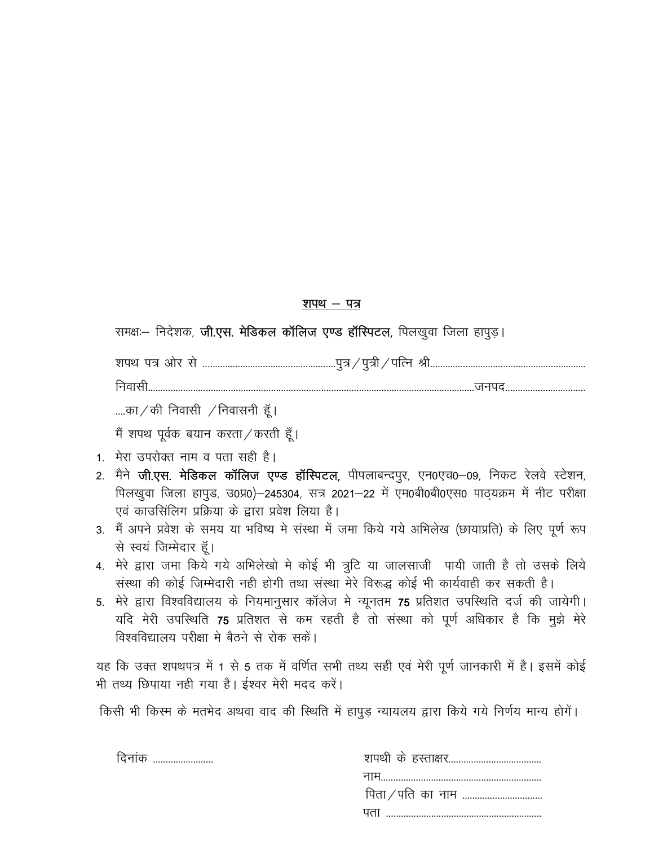# <u>शपथ – पत्र</u>

समक्षः- निदेशक, **जी.एस. मेडिकल कॉलिज एण्ड हॉस्पिटल,** पिलखुवा जिला हापुड़।

"kiFk i= vk sj l s -----------------------------------------------------iq=@iq=h@ifRu Jh--------------------------------------------------------------

fuoklh----------------------------------------------------------------------------------------------------------------------------------tuin--------------------------------

....का / की निवासी  $\overline{\chi}$ निवासनी हूँ।

मैं शपथ पूर्वक बयान करता  $\ell$  करती हूँ।

- 1. मेरा उपरोक्त नाम व पता सही है।
- 2. मैने **जी.एस. मेडिकल कॉलिज एण्ड हॉस्पिटल,** पीपलाबन्दपुर, एन0एच0–09, निकट रेलवे स्टेशन, पिलखुवा जिला हापुड, उ0प्र0)-245304, सत्र 2021-22 में एम0बी0बी0एस0 पाठ्यक्रम में नीट परीक्षा एवं काउसिंलिग प्रक्रिया के द्वारा प्रवेश लिया है।
- 3. मैं अपने प्रवेश के समय या भविष्य मे संस्था में जमा किये गये अभिलेख (छायाप्रति) के लिए पूर्ण रूप से स्वयं जिम्मेदार हूँ।
- 4. मेरे द्वारा जमा किये गये अभिलेखो मे कोई भी त्रूटि या जालसाजी पायी जाती है तो उसके लिये संस्था की कोई जिम्मेदारी नही होगी तथा संस्था मेरे विरूद्ध कोई भी कार्यवाही कर सकती है।
- 5. मेरे द्वारा विश्वविद्यालय के नियमानुसार कॉलेज मे न्यूनतम 75 प्रतिशत उपस्थिति दर्ज की जायेगी। यदि मेरी उपस्थिति 75 प्रतिशत से कम रहती है तो संस्था को पूर्ण अधिकार है कि मुझे मेरे विश्वविद्यालय परीक्षा मे बैठने से रोक सकें।

यह कि उक्त शपथपत्र में 1 से 5 तक में वर्णित सभी तथ्य सही एवं मेरी पूर्ण जानकारी में है। इसमें कोई भी तथ्य छिपाया नही गया है। ईश्वर मेरी मदद करें।

किसी भी किस्म के मतभेद अथवा वाद की स्थिति में हापुड़ न्यायलय द्वारा किये गये निर्णय मान्य होगें।

| I |  |
|---|--|

| ादनाक |     |
|-------|-----|
|       |     |
|       |     |
|       | JUM |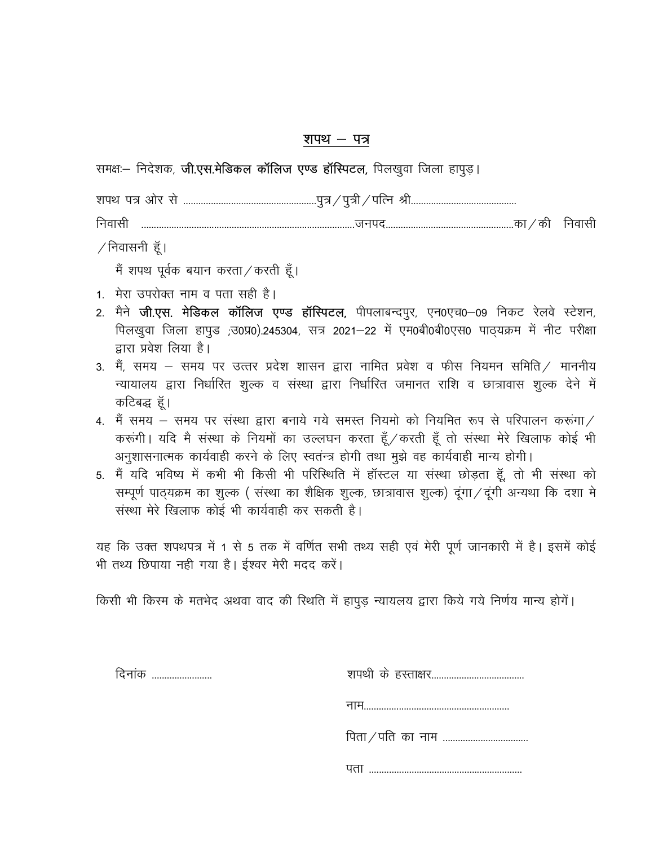## शपथ – पत्र

समक्षः- निदेशक, जी.एस.मेडिकल कॉलिज एण्ड हॉस्पिटल, पिलखुवा जिला हापुड़।

| शपथ पत्र ओर                   | ₩ | প্পৌ<br>पुत्र ⁄ ''<br>पुत्रा ∕<br>୳୲୷ |  |
|-------------------------------|---|---------------------------------------|--|
| निवार<br>$\ddot{\phantom{0}}$ |   | का<br>dol                             |  |

 $/$ निवासनी हूँ।

मैं शपथ पूर्वक बयान करता / करती हैं।

- 1. मेरा उपरोक्त नाम व पता सही है।
- 2. मैने **जी.एस. मेडिकल कॉलिज एण्ड हॉस्पिटल,** पीपलाबन्दपुर, एन0एच0–09 निकट रेलवे स्टेशन, पिलखुवा जिला हापुड ;उ0प्र0).245304, सत्र 2021-22 में एम0बी0बी0एस0 पाठ्यक्रम में नीट परीक्षा हारा प्रवेश लिया है।
- 3. मैं, समय समय पर उत्तर प्रदेश शासन द्वारा नामित प्रवेश व फीस नियमन समिति / माननीय न्यायालय द्वारा निर्धारित शुल्क व संस्था द्वारा निर्धारित जमानत राशि व छात्रावास शुल्क देने में कटिबद्ध हॅ।
- 4. मैं समय समय पर संस्था द्वारा बनाये गये समस्त नियमो को नियमित रूप से परिपालन करूंगा./ करूंगी। यदि मै संस्था के नियमों का उल्लघन करता हूँ / करती हूँ तो संस्था मेरे खिलाफ कोई भी अनुशासनात्मक कार्यवाही करने के लिए स्वतन्त्र होगी तथा मुझे वह कार्यवाही मान्य होगी।
- 5. मैं यदि भविष्य में कभी भी किसी भी परिस्थिति में हॉस्टल या संस्था छोड़ता हूँ, तो भी संस्था को सम्पूर्ण पाठ्यक्रम का शुल्क ( संस्था का शैक्षिक शुल्क, छात्रावास शुल्क) दूंगा / दूंगी अन्यथा कि दशा मे संस्था मेरे खिलाफ कोई भी कार्यवाही कर सकती है।

यह कि उक्त शपथपत्र में 1 से 5 तक में वर्णित सभी तथ्य सही एवं मेरी पूर्ण जानकारी में है। इसमें कोई भी तथ्य छिपाया नही गया है। ईश्वर मेरी मदद करें।

किसी भी किस्म के मतभेद अथवा वाद की स्थिति में हापुड़ न्यायलय द्वारा किये गये निर्णय मान्य होगें।

| दिनांक |                       |
|--------|-----------------------|
|        | नाम……………………………………………… |
|        |                       |
|        |                       |